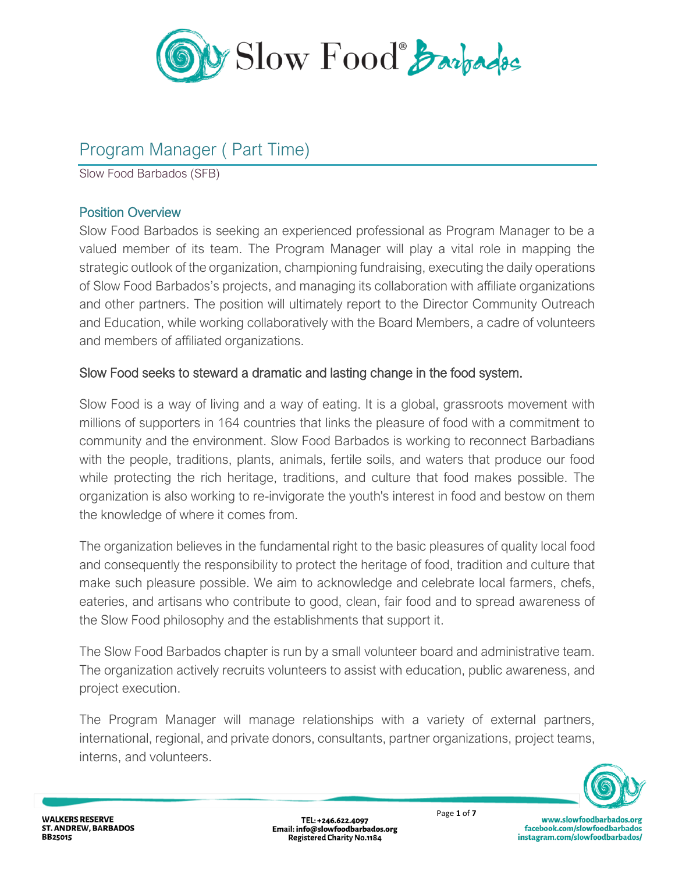

# Program Manager ( Part Time)

Slow Food Barbados (SFB)

## Position Overview

Slow Food Barbados is seeking an experienced professional as Program Manager to be a valued member of its team. The Program Manager will play a vital role in mapping the strategic outlook of the organization, championing fundraising, executing the daily operations of Slow Food Barbados's projects, and managing its collaboration with affiliate organizations and other partners. The position will ultimately report to the Director Community Outreach and Education, while working collaboratively with the Board Members, a cadre of volunteers and members of affiliated organizations.

## Slow Food seeks to steward a dramatic and lasting change in the food system.

Slow Food is a way of living and a way of eating. It is a global, grassroots movement with millions of supporters in 164 countries that links the pleasure of food with a commitment to community and the environment. Slow Food Barbados is working to reconnect Barbadians with the people, traditions, plants, animals, fertile soils, and waters that produce our food while protecting the rich heritage, traditions, and culture that food makes possible. The organization is also working to re-invigorate the youth's interest in food and bestow on them the knowledge of where it comes from.

The organization believes in the fundamental right to the basic pleasures of quality local food and consequently the responsibility to protect the heritage of food, tradition and culture that make such pleasure possible. We aim to acknowledge and celebrate local farmers, chefs, eateries, and artisans who contribute to good, clean, fair food and to spread awareness of the Slow Food philosophy and the establishments that support it.

The Slow Food Barbados chapter is run by a small volunteer board and administrative team. The organization actively recruits volunteers to assist with education, public awareness, and project execution.

The Program Manager will manage relationships with a variety of external partners, international, regional, and private donors, consultants, partner organizations, project teams, interns, and volunteers.



www.slowfoodbarbados.org facebook.com/slowfoodbarbados instagram.com/slowfoodbarbados/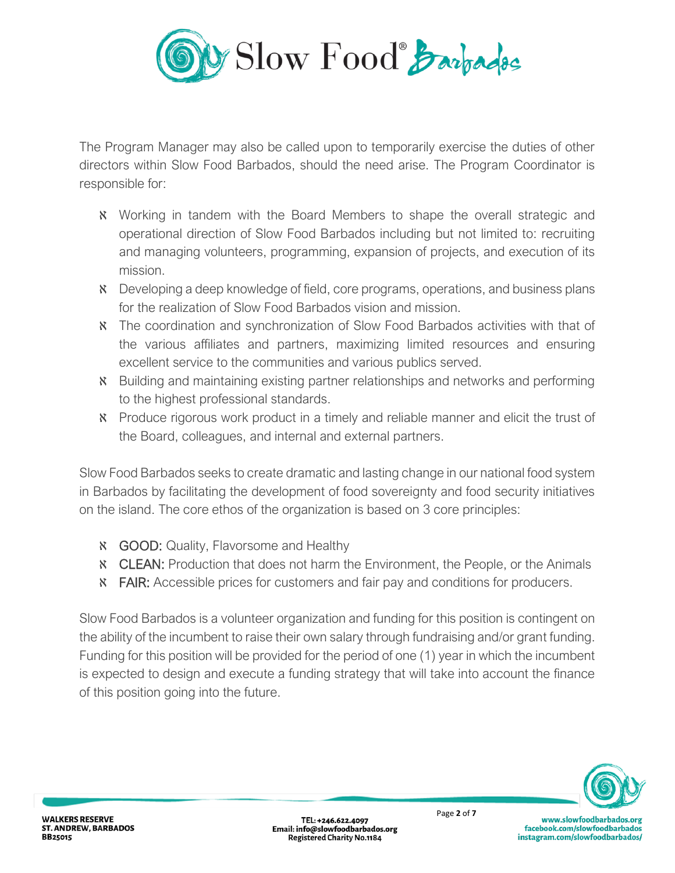

The Program Manager may also be called upon to temporarily exercise the duties of other directors within Slow Food Barbados, should the need arise. The Program Coordinator is responsible for:

- ℵ Working in tandem with the Board Members to shape the overall strategic and operational direction of Slow Food Barbados including but not limited to: recruiting and managing volunteers, programming, expansion of projects, and execution of its mission.
- ℵ Developing a deep knowledge of field, core programs, operations, and business plans for the realization of Slow Food Barbados vision and mission.
- ℵ The coordination and synchronization of Slow Food Barbados activities with that of the various affiliates and partners, maximizing limited resources and ensuring excellent service to the communities and various publics served.
- ℵ Building and maintaining existing partner relationships and networks and performing to the highest professional standards.
- ℵ Produce rigorous work product in a timely and reliable manner and elicit the trust of the Board, colleagues, and internal and external partners.

Slow Food Barbados seeks to create dramatic and lasting change in our national food system in Barbados by facilitating the development of food sovereignty and food security initiatives on the island. The core ethos of the organization is based on 3 core principles:

- ℵ GOOD: Quality, Flavorsome and Healthy
- ℵ CLEAN: Production that does not harm the Environment, the People, or the Animals
- **K** FAIR: Accessible prices for customers and fair pay and conditions for producers.

Slow Food Barbados is a volunteer organization and funding for this position is contingent on the ability of the incumbent to raise their own salary through fundraising and/or grant funding. Funding for this position will be provided for the period of one (1) year in which the incumbent is expected to design and execute a funding strategy that will take into account the finance of this position going into the future.

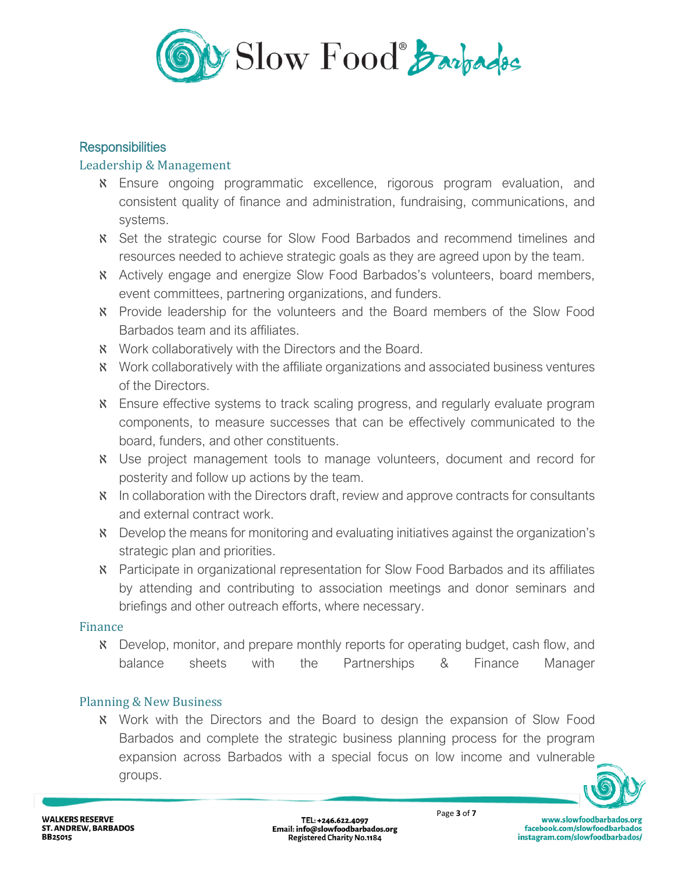

#### **Responsibilities**

#### Leadership & Management

- ℵ Ensure ongoing programmatic excellence, rigorous program evaluation, and consistent quality of finance and administration, fundraising, communications, and systems.
- ℵ Set the strategic course for Slow Food Barbados and recommend timelines and resources needed to achieve strategic goals as they are agreed upon by the team.
- ℵ Actively engage and energize Slow Food Barbados's volunteers, board members, event committees, partnering organizations, and funders.
- ℵ Provide leadership for the volunteers and the Board members of the Slow Food Barbados team and its affiliates.
- **K** Work collaboratively with the Directors and the Board.
- ℵ Work collaboratively with the affiliate organizations and associated business ventures of the Directors.
- ℵ Ensure effective systems to track scaling progress, and regularly evaluate program components, to measure successes that can be effectively communicated to the board, funders, and other constituents.
- ℵ Use project management tools to manage volunteers, document and record for posterity and follow up actions by the team.
- ℵ In collaboration with the Directors draft, review and approve contracts for consultants and external contract work.
- ℵ Develop the means for monitoring and evaluating initiatives against the organization's strategic plan and priorities.
- ℵ Participate in organizational representation for Slow Food Barbados and its affiliates by attending and contributing to association meetings and donor seminars and briefings and other outreach efforts, where necessary.

#### Finance

ℵ Develop, monitor, and prepare monthly reports for operating budget, cash flow, and balance sheets with the Partnerships & Finance Manager

## Planning & New Business

ℵ Work with the Directors and the Board to design the expansion of Slow Food Barbados and complete the strategic business planning process for the program expansion across Barbados with a special focus on low income and vulnerable groups.

www.slowfoodbarbados.org

facebook.com/slowfoodbarbados

instagram.com/slowfoodbarbados/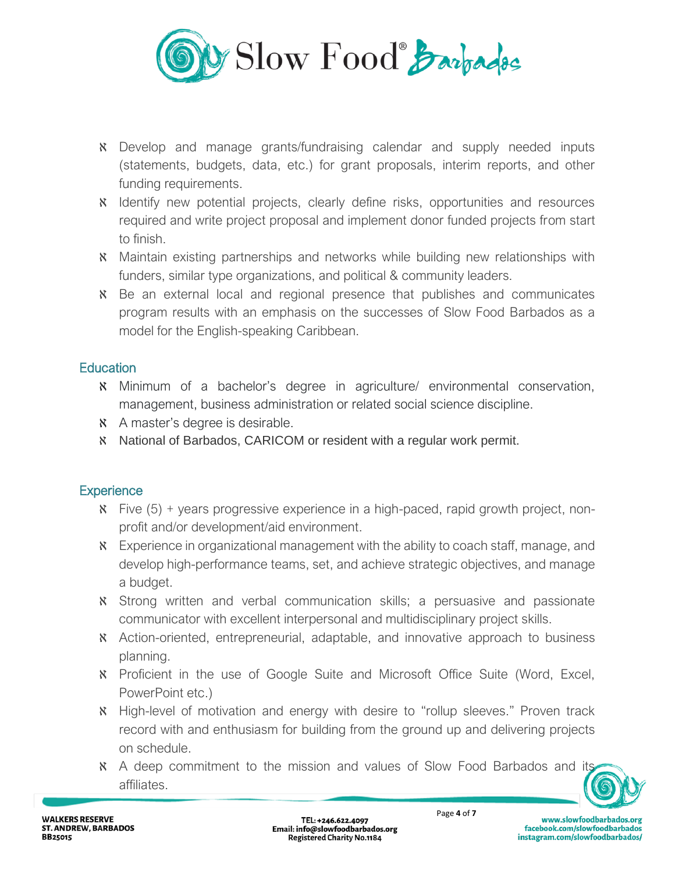

- ℵ Develop and manage grants/fundraising calendar and supply needed inputs (statements, budgets, data, etc.) for grant proposals, interim reports, and other funding requirements.
- ℵ Identify new potential projects, clearly define risks, opportunities and resources required and write project proposal and implement donor funded projects from start to finish.
- ℵ Maintain existing partnerships and networks while building new relationships with funders, similar type organizations, and political & community leaders.
- ℵ Be an external local and regional presence that publishes and communicates program results with an emphasis on the successes of Slow Food Barbados as a model for the English-speaking Caribbean.

## **Education**

- ℵ Minimum of a bachelor's degree in agriculture/ environmental conservation, management, business administration or related social science discipline.
- ℵ A master's degree is desirable.
- ℵ National of Barbados, CARICOM or resident with a regular work permit.

# **Experience**

- ℵ Five (5) + years progressive experience in a high-paced, rapid growth project, nonprofit and/or development/aid environment.
- **K** Experience in organizational management with the ability to coach staff, manage, and develop high-performance teams, set, and achieve strategic objectives, and manage a budget.
- ℵ Strong written and verbal communication skills; a persuasive and passionate communicator with excellent interpersonal and multidisciplinary project skills.
- ℵ Action-oriented, entrepreneurial, adaptable, and innovative approach to business planning.
- ℵ Proficient in the use of Google Suite and Microsoft Office Suite (Word, Excel, PowerPoint etc.)
- ℵ High-level of motivation and energy with desire to "rollup sleeves." Proven track record with and enthusiasm for building from the ground up and delivering projects on schedule.
- ℵ A deep commitment to the mission and values of Slow Food Barbados and its affiliates.

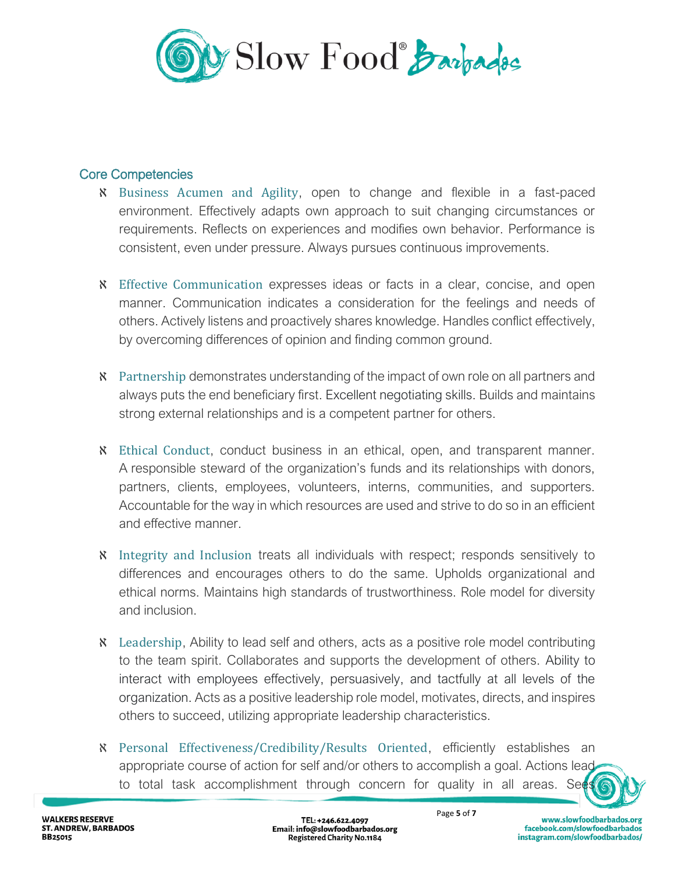

#### Core Competencies

- ℵ Business Acumen and Agility, open to change and flexible in a fast-paced environment. Effectively adapts own approach to suit changing circumstances or requirements. Reflects on experiences and modifies own behavior. Performance is consistent, even under pressure. Always pursues continuous improvements.
- ℵ Effective Communication expresses ideas or facts in a clear, concise, and open manner. Communication indicates a consideration for the feelings and needs of others. Actively listens and proactively shares knowledge. Handles conflict effectively, by overcoming differences of opinion and finding common ground.
- ℵ Partnership demonstrates understanding of the impact of own role on all partners and always puts the end beneficiary first. Excellent negotiating skills. Builds and maintains strong external relationships and is a competent partner for others.
- ℵ Ethical Conduct, conduct business in an ethical, open, and transparent manner. A responsible steward of the organization's funds and its relationships with donors, partners, clients, employees, volunteers, interns, communities, and supporters. Accountable for the way in which resources are used and strive to do so in an efficient and effective manner.
- ℵ Integrity and Inclusion treats all individuals with respect; responds sensitively to differences and encourages others to do the same. Upholds organizational and ethical norms. Maintains high standards of trustworthiness. Role model for diversity and inclusion.
- ℵ Leadership, Ability to lead self and others, acts as a positive role model contributing to the team spirit. Collaborates and supports the development of others. Ability to interact with employees effectively, persuasively, and tactfully at all levels of the organization. Acts as a positive leadership role model, motivates, directs, and inspires others to succeed, utilizing appropriate leadership characteristics.
- ℵ Personal Effectiveness/Credibility/Results Oriented, efficiently establishes an appropriate course of action for self and/or others to accomplish a goal. Actions lead to total task accomplishment through concern for quality in all areas. Sees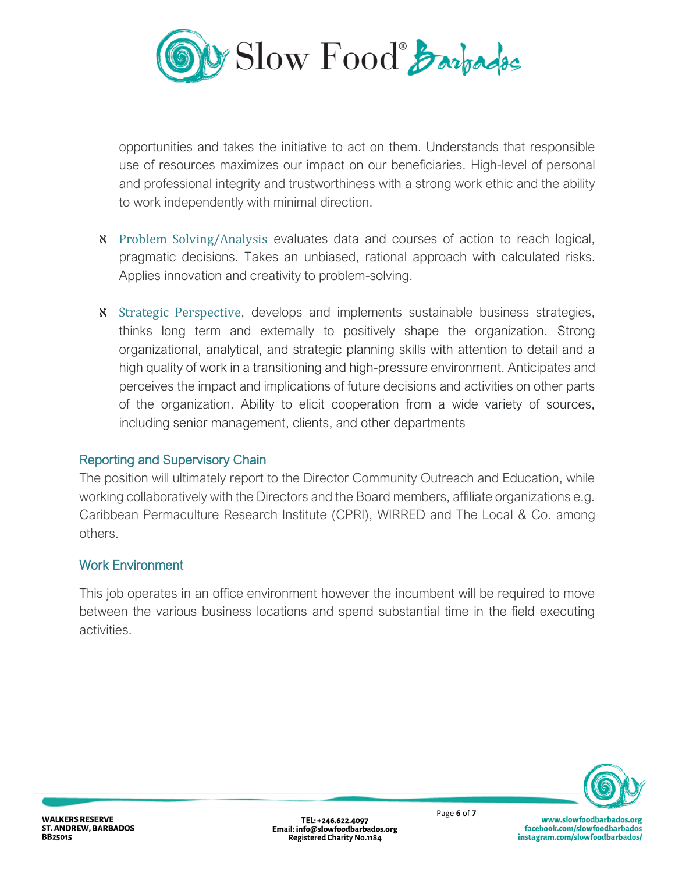

opportunities and takes the initiative to act on them. Understands that responsible use of resources maximizes our impact on our beneficiaries. High-level of personal and professional integrity and trustworthiness with a strong work ethic and the ability to work independently with minimal direction.

- ℵ Problem Solving/Analysis evaluates data and courses of action to reach logical, pragmatic decisions. Takes an unbiased, rational approach with calculated risks. Applies innovation and creativity to problem-solving.
- ℵ Strategic Perspective, develops and implements sustainable business strategies, thinks long term and externally to positively shape the organization. Strong organizational, analytical, and strategic planning skills with attention to detail and a high quality of work in a transitioning and high-pressure environment. Anticipates and perceives the impact and implications of future decisions and activities on other parts of the organization. Ability to elicit cooperation from a wide variety of sources, including senior management, clients, and other departments

## Reporting and Supervisory Chain

The position will ultimately report to the Director Community Outreach and Education, while working collaboratively with the Directors and the Board members, affiliate organizations e.g. Caribbean Permaculture Research Institute (CPRI), WIRRED and The Local & Co. among others.

## Work Environment

This job operates in an office environment however the incumbent will be required to move between the various business locations and spend substantial time in the field executing activities.